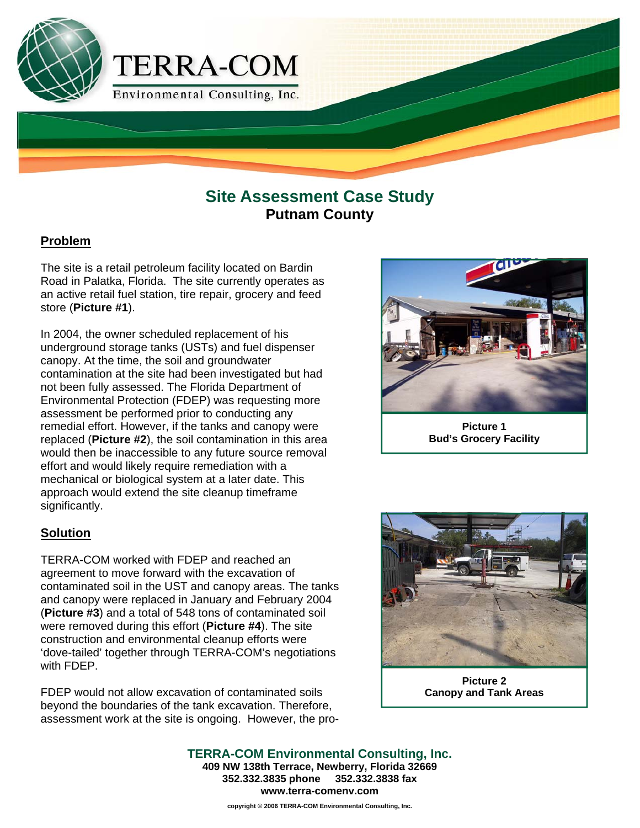

## **Site Assessment Case Study Putnam County**

### **Problem**

The site is a retail petroleum facility located on Bardin Road in Palatka, Florida. The site currently operates as an active retail fuel station, tire repair, grocery and feed store (**Picture #1**).

In 2004, the owner scheduled replacement of his underground storage tanks (USTs) and fuel dispenser canopy. At the time, the soil and groundwater contamination at the site had been investigated but had not been fully assessed. The Florida Department of Environmental Protection (FDEP) was requesting more assessment be performed prior to conducting any remedial effort. However, if the tanks and canopy were replaced (**Picture #2**), the soil contamination in this area would then be inaccessible to any future source removal effort and would likely require remediation with a mechanical or biological system at a later date. This approach would extend the site cleanup timeframe significantly.

#### **Solution**

TERRA-COM worked with FDEP and reached an agreement to move forward with the excavation of contaminated soil in the UST and canopy areas. The tanks and canopy were replaced in January and February 2004 (**Picture #3**) and a total of 548 tons of contaminated soil were removed during this effort (**Picture #4**). The site construction and environmental cleanup efforts were 'dove-tailed' together through TERRA-COM's negotiations with FDEP.

FDEP would not allow excavation of contaminated soils beyond the boundaries of the tank excavation. Therefore, assessment work at the site is ongoing. However, the pro-



**Picture 1 Bud's Grocery Facility** 



**Picture 2 Canopy and Tank Areas** 

**TERRA-COM Environmental Consulting, Inc. 409 NW 138th Terrace, Newberry, Florida 32669 352.332.3835 phone 352.332.3838 fax www.terra-comenv.com**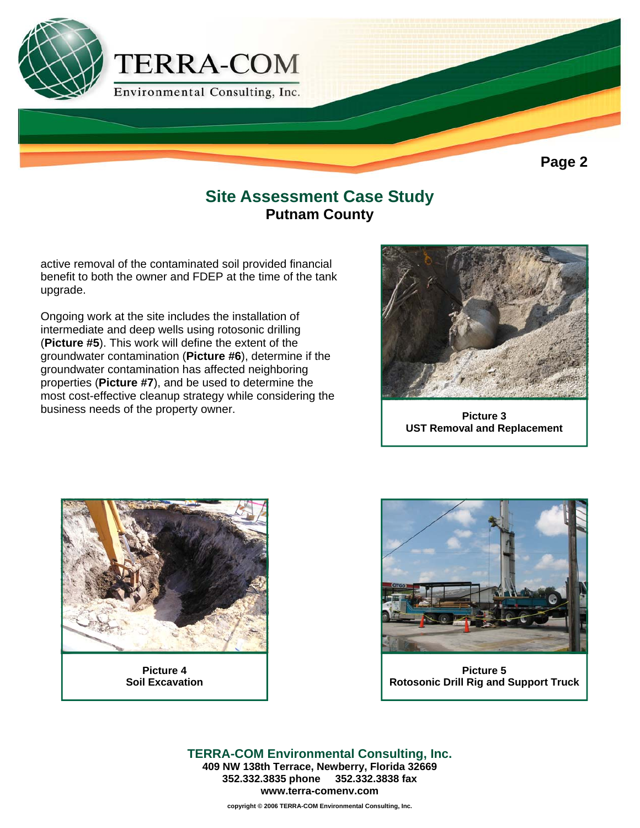

## **Site Assessment Case Study Putnam County**

active removal of the contaminated soil provided financial benefit to both the owner and FDEP at the time of the tank upgrade.

Ongoing work at the site includes the installation of intermediate and deep wells using rotosonic drilling (**Picture #5**). This work will define the extent of the groundwater contamination (**Picture #6**), determine if the groundwater contamination has affected neighboring properties (**Picture #7**), and be used to determine the most cost-effective cleanup strategy while considering the business needs of the property owner.



**Picture 3 UST Removal and Replacement** 



**Picture 4 Soil Excavation** 



**Picture 5 Rotosonic Drill Rig and Support Truck** 

**TERRA-COM Environmental Consulting, Inc. 409 NW 138th Terrace, Newberry, Florida 32669 352.332.3835 phone 352.332.3838 fax www.terra-comenv.com**